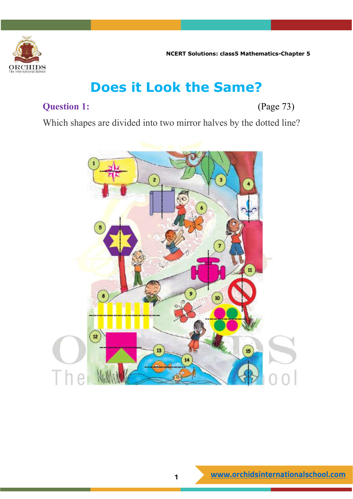

## **Does it Look the Same?**

## **Question 1:** (Page 73)

Which shapes are divided into two mirror halves by the dotted line?

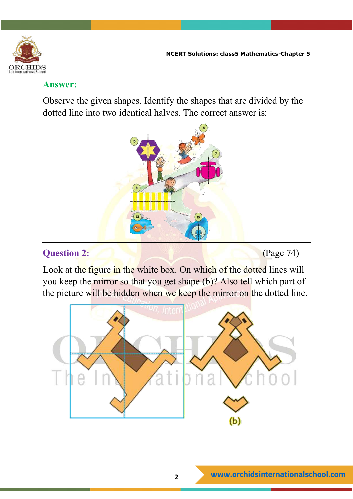

Observe the given shapes. Identify the shapes that are divided by the dotted line into two identical halves. The correct answer is:



#### **Question 2: C** (Page 74)

Look at the figure in the white box. On which of the dotted lines will you keep the mirror so that you get shape (b)? Also tell which part of the picture will be hidden when we keep the mirror on the dotted line.

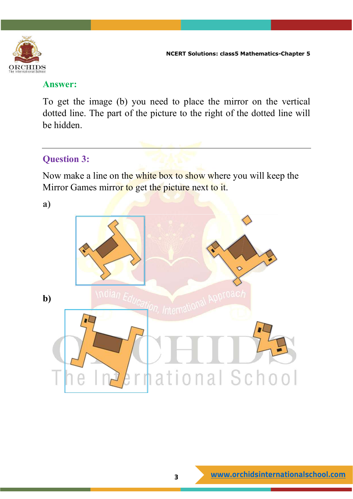

To get the image (b) you need to place the mirror on the vertical dotted line. The part of the picture to the right of the dotted line will be hidden.

## **Question 3:**

Now make a line on the white box to show where you will keep the Mirror Games mirror to get the picture next to it.

**a)**

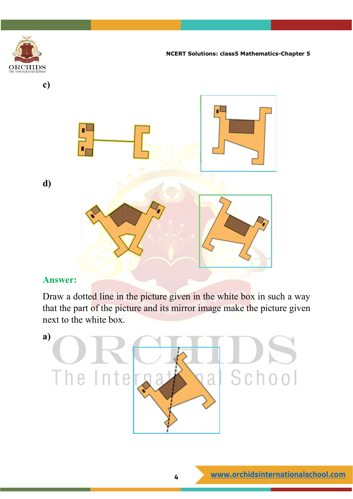

Draw a dotted line in the picture given in the white box in such a way that the part of the picture and its mirror image make the picture given next to the white box.

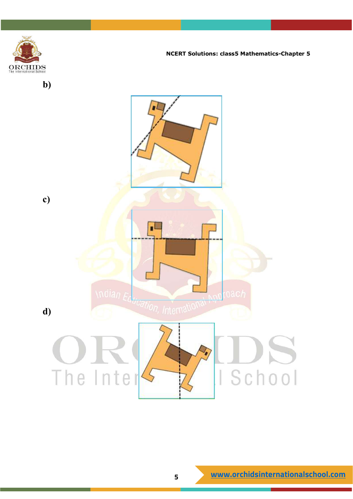

**b)**

**NCERT Solutions: class5 Mathematics-Chapter 5**

**c)** Ë \ndian  $\epsilon_{0}$ *dication, International* **d)**The Inter I School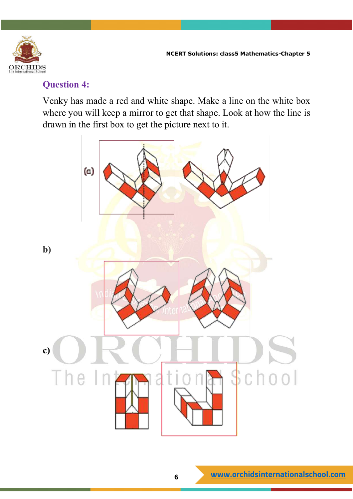

#### **Question 4:**

Venky has made a red and white shape. Make a line on the white box where you will keep a mirror to get that shape. Look at how the line is drawn in the first box to get the picture next to it.

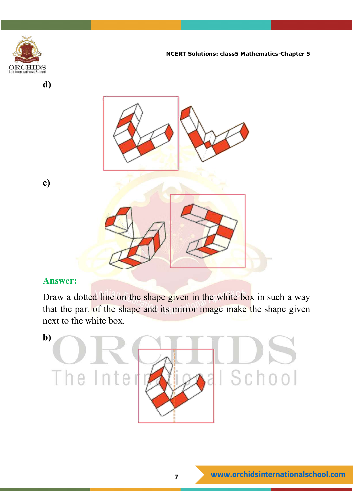

**d)**

**NCERT Solutions: class5 Mathematics-Chapter 5**



#### **Answer:**

Draw a dotted line on the shape given in the white box in such a way that the part of the shape and its mirror image make the shape given next to the white box.

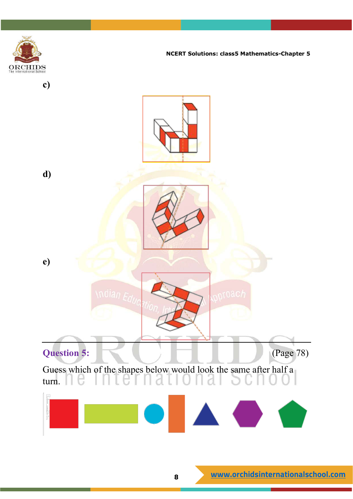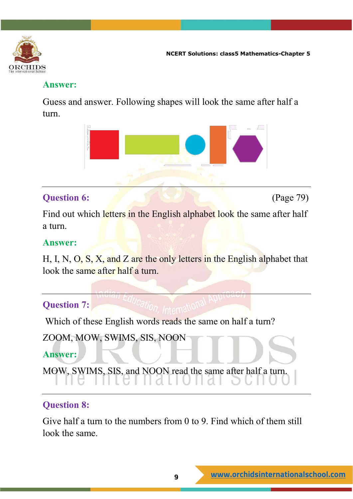

Guess and answer. Following shapes will look the same after half a turn.



## **Question 6:** (Page 79)

Find out which letters in the English alphabet look the same after half a turn.

## **Answer:**

H, I, N, O, S, X, and Z are the only letters in the English alphabet that look the same after half a turn.

## **Question 7:**

Which of these English words reads the same on half a turn?

```
ZOOM, MOW, SWIMS, SIS, NOON
```
## **Answer:**

```
MOW, SWIMS, SIS, and NOON read the same after half a turn.
```
## **Question 8:**

Give half a turn to the numbers from 0 to 9. Find which of them still look the same.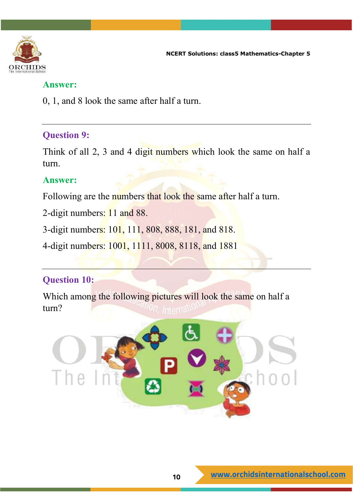

0, 1, and 8 look the same after half a turn.

#### **Question 9:**

Think of all 2, 3 and 4 digit numbers which look the same on half a turn.

#### **Answer:**

Following are the numbers that look the same after half a turn.

2-digit numbers: 11 and 88.

3-digit numbers: 101, 111, 808, 888, 181, and 818.

4-digit numbers: 1001, 1111, 8008, 8118, and 1881

## **Question 10:**

Which among the following pictures will look the same on half a turn?

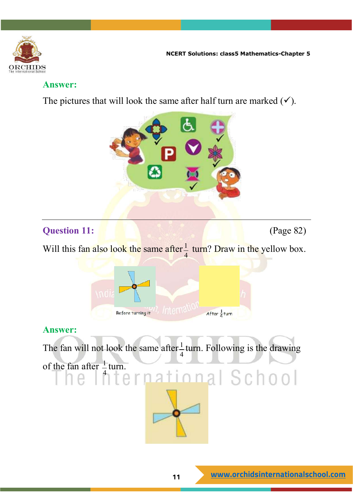

The pictures that will look the same after half turn are marked  $(\checkmark)$ .



## **Question 11: (Page 82) (Page 82)**

Will this fan also look the same after  $\frac{1}{4}$  turn? Draw in the yellow box.



## **Answer:**

The fan will not look the same after  $\frac{1}{2}$ 4 turn. Following is the drawing

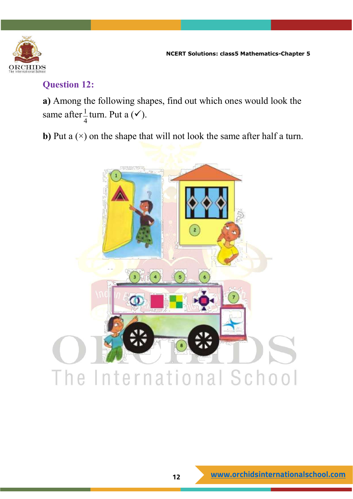

#### **Question 12:**

**a)** Among the following shapes, find out which ones would look the same after $\frac{1}{4}$ 4 turn. Put a  $(\checkmark)$ .

**b**) Put a ( $\times$ ) on the shape that will not look the same after half a turn.

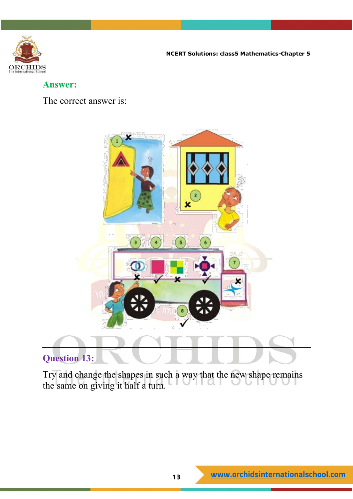

#### **Answer:**

The correct answer is:



## **Question 13:**

Try and change the shapes in such a way that the new shape remains the same on giving it half a turn.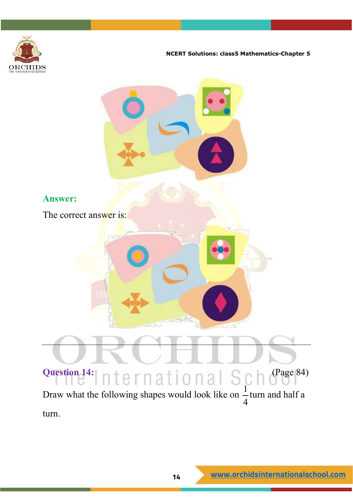

**Answer:** The correct answer is: **Question 14:**  $n + q$   $r n q + i q n q$   $\mathbb{C}$   $q$   $q$   $q$   $(Page 84)$ Draw what the following shapes would look like on  $\frac{1}{2}$ 4 turn and half a turn.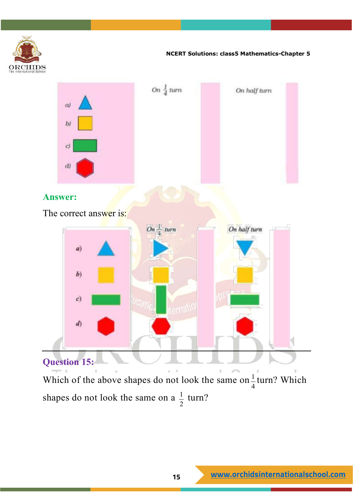

Which of the above shapes do not look the same on  $\frac{1}{4}$ 4 turn? Which shapes do not look the same on a  $\frac{1}{2}$ 2 turn?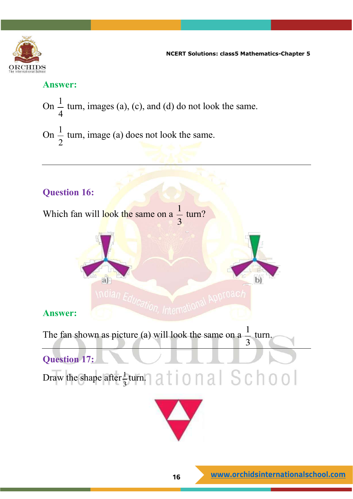

#### **Answer:**

On  $\frac{1}{1}$  $\frac{1}{4}$  turn, images (a), (c), and (d) do not look the same.

On  $\frac{1}{2}$  $\frac{1}{2}$  turn, image (a) does not look the same.

## **Question 16:**

Which fan will look the same on a  $\frac{1}{2}$ 3 turn?



## **Answer:**

The fan shown as picture (a) will look the same on a 1 3 turn.



Draw the shape after  $\frac{1}{2}$ 3 turn.



 $b)$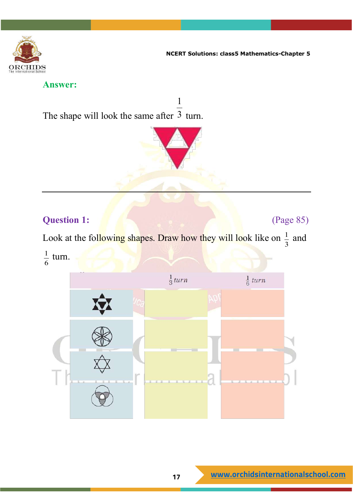

#### **Answer:**

The shape will look the same after 3 turn.



1

## **Question 1:** (Page 85)

Look at the following shapes. Draw how they will look like on  $\frac{1}{2}$ 3 and 1 turn.



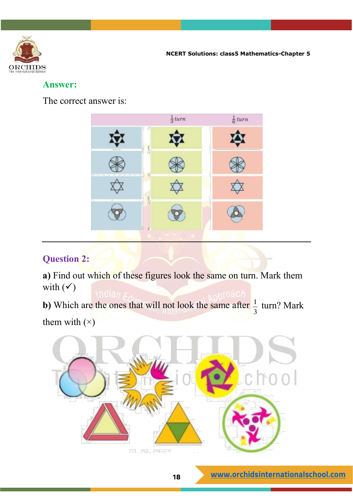

#### **Answer:**

The correct answer is:



## **Question 2:**

**a)** Find out which of these figures look the same on turn. Mark them with  $(\check{v})$ 

**b)** Which are the ones that will not look the same after  $\frac{1}{2}$ 3 turn? Mark them with  $(x)$ 

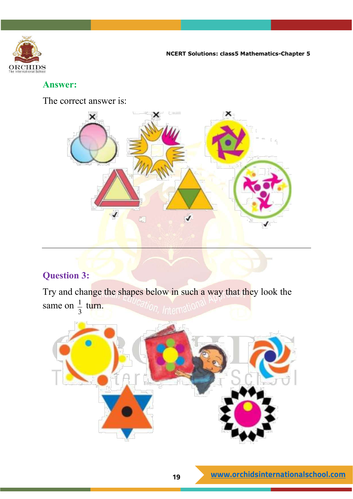

The correct answer is:



## **Question 3:**

Try and change the shapes below in such a way that they look the same on  $\frac{1}{2}$ 3 turn.